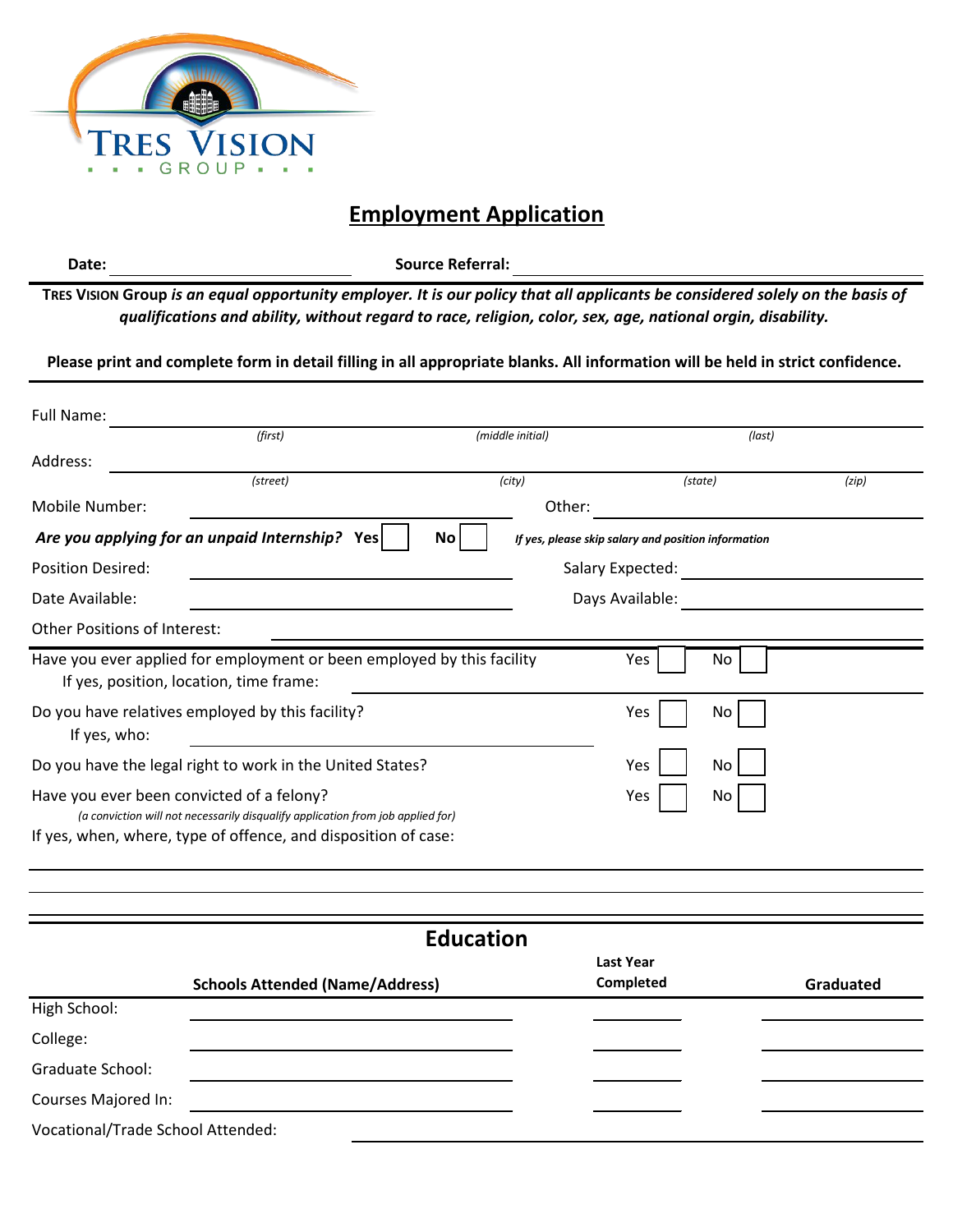

## **Employment Application**

**Date:**

**Source Referral:**

**TRES VISION Group** *is an equal opportunity employer. It is our policy that all applicants be considered solely on the basis of qualifications and ability, without regard to race, religion, color, sex, age, national orgin, disability.*

**Please print and complete form in detail filling in all appropriate blanks. All information will be held in strict confidence.** 

| Full Name:                                                |                                                                                                                                                   |                  |                                                     |         |           |  |
|-----------------------------------------------------------|---------------------------------------------------------------------------------------------------------------------------------------------------|------------------|-----------------------------------------------------|---------|-----------|--|
|                                                           | (first)                                                                                                                                           | (middle initial) |                                                     | (last)  |           |  |
| Address:                                                  |                                                                                                                                                   |                  |                                                     |         |           |  |
|                                                           | (street)                                                                                                                                          | (city)           |                                                     | (state) | (zip)     |  |
| Mobile Number:                                            |                                                                                                                                                   | Other:           |                                                     |         |           |  |
|                                                           | Are you applying for an unpaid Internship? Yes                                                                                                    | <b>No</b>        | If yes, please skip salary and position information |         |           |  |
| <b>Position Desired:</b>                                  | Salary Expected: The Contract of The Contract of The Contract of The Contract of The Contract of The Contract o                                   |                  |                                                     |         |           |  |
| Date Available:                                           | Days Available:                                                                                                                                   |                  |                                                     |         |           |  |
| Other Positions of Interest:                              |                                                                                                                                                   |                  |                                                     |         |           |  |
|                                                           | Have you ever applied for employment or been employed by this facility<br>If yes, position, location, time frame:                                 |                  | Yes                                                 | No      |           |  |
| If yes, who:                                              | Do you have relatives employed by this facility?                                                                                                  |                  | Yes                                                 | No      |           |  |
| Do you have the legal right to work in the United States? |                                                                                                                                                   | Yes              | No                                                  |         |           |  |
| Have you ever been convicted of a felony?                 | (a conviction will not necessarily disqualify application from job applied for)<br>If yes, when, where, type of offence, and disposition of case: |                  | Yes                                                 | No      |           |  |
|                                                           |                                                                                                                                                   |                  |                                                     |         |           |  |
|                                                           |                                                                                                                                                   | <b>Education</b> |                                                     |         |           |  |
|                                                           | <b>Schools Attended (Name/Address)</b>                                                                                                            |                  | <b>Last Year</b><br>Completed                       |         | Graduated |  |
| High School:                                              |                                                                                                                                                   |                  |                                                     |         |           |  |
| College:                                                  |                                                                                                                                                   |                  |                                                     |         |           |  |
| Graduate School:                                          |                                                                                                                                                   |                  |                                                     |         |           |  |
| Courses Majored In:                                       |                                                                                                                                                   |                  |                                                     |         |           |  |
| Vocational/Trade School Attended:                         |                                                                                                                                                   |                  |                                                     |         |           |  |